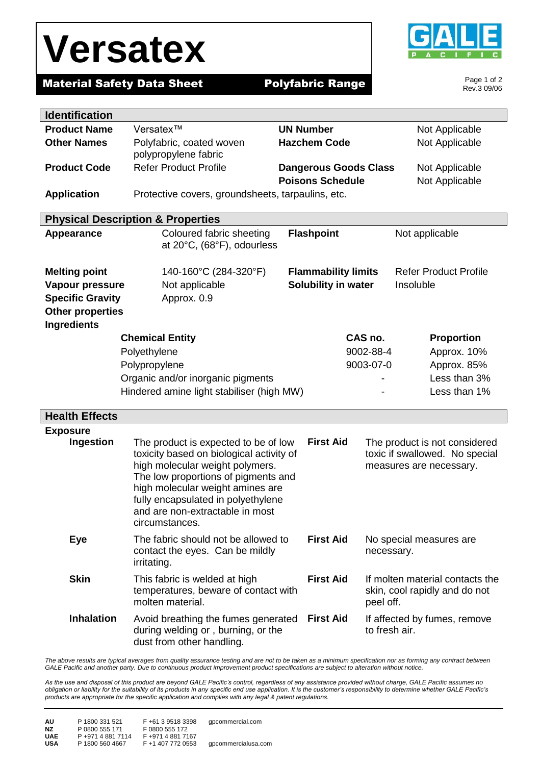# **Versatex**



Page 1 of 2 Rev.3 09/06

٦

### **Material Safety Data Sheet Polyfabric Range**

| <b>Identification</b>   |                                                                        |                              |               |                                 |  |
|-------------------------|------------------------------------------------------------------------|------------------------------|---------------|---------------------------------|--|
| <b>Product Name</b>     | Versatex™                                                              | <b>UN Number</b>             |               | Not Applicable                  |  |
| <b>Other Names</b>      | Polyfabric, coated woven                                               | <b>Hazchem Code</b>          |               | Not Applicable                  |  |
|                         | polypropylene fabric                                                   |                              |               |                                 |  |
| <b>Product Code</b>     | <b>Refer Product Profile</b>                                           | <b>Dangerous Goods Class</b> |               | Not Applicable                  |  |
|                         |                                                                        | <b>Poisons Schedule</b>      |               | Not Applicable                  |  |
| <b>Application</b>      | Protective covers, groundsheets, tarpaulins, etc.                      |                              |               |                                 |  |
|                         | <b>Physical Description &amp; Properties</b>                           |                              |               |                                 |  |
| <b>Appearance</b>       | Coloured fabric sheeting                                               | <b>Flashpoint</b>            |               | Not applicable                  |  |
|                         | at 20°C, (68°F), odourless                                             |                              |               |                                 |  |
|                         |                                                                        |                              |               |                                 |  |
| <b>Melting point</b>    | 140-160°C (284-320°F)                                                  | <b>Flammability limits</b>   |               | <b>Refer Product Profile</b>    |  |
| Vapour pressure         | Not applicable                                                         | Solubility in water          |               | Insoluble                       |  |
| <b>Specific Gravity</b> | Approx. 0.9                                                            |                              |               |                                 |  |
| <b>Other properties</b> |                                                                        |                              |               |                                 |  |
| <b>Ingredients</b>      |                                                                        |                              |               |                                 |  |
|                         | <b>Chemical Entity</b>                                                 |                              | CAS no.       | <b>Proportion</b>               |  |
|                         | 9002-88-4<br>Polyethylene                                              |                              |               | Approx. 10%                     |  |
|                         | Polypropylene                                                          |                              | 9003-07-0     | Approx. 85%                     |  |
|                         | Organic and/or inorganic pigments                                      |                              |               | Less than 3%                    |  |
|                         | Hindered amine light stabiliser (high MW)                              |                              |               | Less than 1%                    |  |
| <b>Health Effects</b>   |                                                                        |                              |               |                                 |  |
| <b>Exposure</b>         |                                                                        |                              |               |                                 |  |
| Ingestion               | The product is expected to be of low                                   | <b>First Aid</b>             |               | The product is not considered   |  |
|                         | toxicity based on biological activity of                               |                              |               | toxic if swallowed. No special  |  |
|                         | high molecular weight polymers.<br>The low proportions of pigments and |                              |               | measures are necessary.         |  |
|                         | high molecular weight amines are                                       |                              |               |                                 |  |
|                         | fully encapsulated in polyethylene                                     |                              |               |                                 |  |
|                         | and are non-extractable in most                                        |                              |               |                                 |  |
|                         | circumstances.                                                         |                              |               |                                 |  |
| Eye                     | The fabric should not be allowed to                                    | <b>First Aid</b>             |               | No special measures are         |  |
|                         | contact the eyes. Can be mildly                                        |                              | necessary.    |                                 |  |
|                         | irritating.                                                            |                              |               |                                 |  |
| <b>Skin</b>             | This fabric is welded at high                                          | <b>First Aid</b>             |               | If molten material contacts the |  |
|                         | temperatures, beware of contact with<br>molten material.               |                              |               | skin, cool rapidly and do not   |  |
|                         |                                                                        |                              | peel off.     |                                 |  |
| <b>Inhalation</b>       | Avoid breathing the fumes generated                                    | <b>First Aid</b>             | to fresh air. | If affected by fumes, remove    |  |
|                         | during welding or, burning, or the<br>dust from other handling.        |                              |               |                                 |  |

The above results are typical averages from quality assurance testing and are not to be taken as a minimum specification nor as forming any contract between *GALE Pacific and another party. Due to continuous product improvement product specifications are subject to alteration without notice.*

*As the use and disposal of this product are beyond GALE Pacific's control, regardless of any assistance provided without charge, GALE Pacific assumes no obligation or liability for the suitability of its products in any specific end use application. It is the customer's responsibility to determine whether GALE Pacific's products are appropriate for the specific application and complies with any legal & patent regulations.*

| AU         | P 1800 331 521    | F+61 3 9518 3398  | qpcommercial.com    |
|------------|-------------------|-------------------|---------------------|
| NZ.        | P 0800 555 171    | F 0800 555 172    |                     |
| <b>UAE</b> | P +971 4 881 7114 | F+971 4 881 7167  | gpcommercialusa.com |
| <b>USA</b> | P 1800 560 4667   | F +1 407 772 0553 |                     |